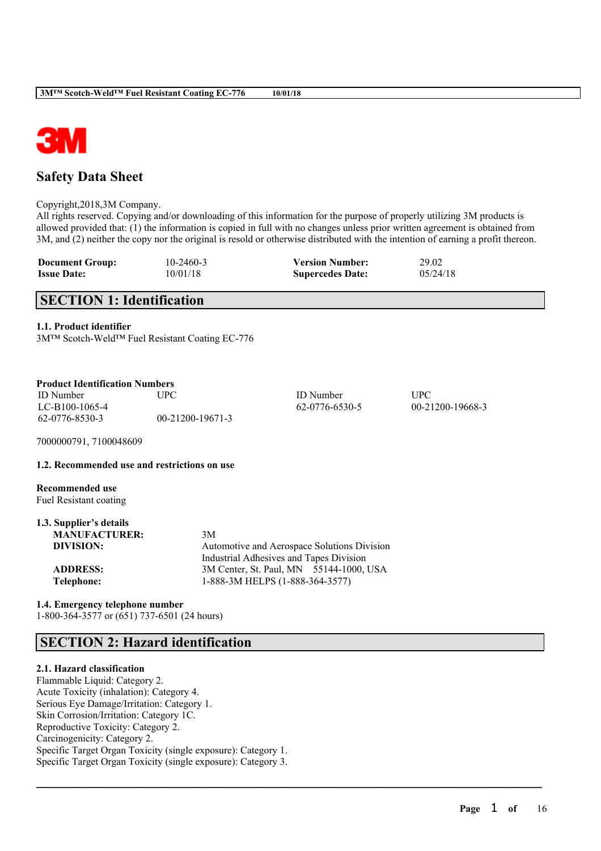

# **Safety Data Sheet**

Copyright,2018,3M Company.

All rights reserved. Copying and/or downloading of this information for the purpose of properly utilizing 3M products is allowed provided that: (1) the information is copied in full with no changes unless prior written agreement is obtained from 3M, and (2) neither the copy nor the original is resold or otherwise distributed with the intention of earning a profit thereon.

 $\mathcal{L}_\mathcal{L} = \mathcal{L}_\mathcal{L} = \mathcal{L}_\mathcal{L} = \mathcal{L}_\mathcal{L} = \mathcal{L}_\mathcal{L} = \mathcal{L}_\mathcal{L} = \mathcal{L}_\mathcal{L} = \mathcal{L}_\mathcal{L} = \mathcal{L}_\mathcal{L} = \mathcal{L}_\mathcal{L} = \mathcal{L}_\mathcal{L} = \mathcal{L}_\mathcal{L} = \mathcal{L}_\mathcal{L} = \mathcal{L}_\mathcal{L} = \mathcal{L}_\mathcal{L} = \mathcal{L}_\mathcal{L} = \mathcal{L}_\mathcal{L}$ 

| <b>Document Group:</b> | $10 - 2460 - 3$ | <b>Version Number:</b>  | 29.02    |
|------------------------|-----------------|-------------------------|----------|
| <b>Issue Date:</b>     | 10/01/18        | <b>Supercedes Date:</b> | 05/24/18 |

# **SECTION 1: Identification**

### **1.1. Product identifier**

3M™ Scotch-Weld™ Fuel Resistant Coating EC-776

|  | <b>Product Identification Numbers</b> |  |
|--|---------------------------------------|--|
|--|---------------------------------------|--|

ID Number UPC ID Number UPC LC-B100-1065-4 62-0776-6530-5 00-21200-19668-3 62-0776-8530-3 00-21200-19671-3

7000000791, 7100048609

### **1.2. Recommended use and restrictions on use**

**Recommended use** Fuel Resistant coating

| 3M                                          |
|---------------------------------------------|
| Automotive and Aerospace Solutions Division |
| Industrial Adhesives and Tapes Division     |
| 3M Center, St. Paul, MN 55144-1000, USA     |
| 1-888-3M HELPS (1-888-364-3577)             |
|                                             |

## **1.4. Emergency telephone number** 1-800-364-3577 or (651) 737-6501 (24 hours)

# **SECTION 2: Hazard identification**

## **2.1. Hazard classification**

Flammable Liquid: Category 2. Acute Toxicity (inhalation): Category 4. Serious Eye Damage/Irritation: Category 1. Skin Corrosion/Irritation: Category 1C. Reproductive Toxicity: Category 2. Carcinogenicity: Category 2. Specific Target Organ Toxicity (single exposure): Category 1. Specific Target Organ Toxicity (single exposure): Category 3.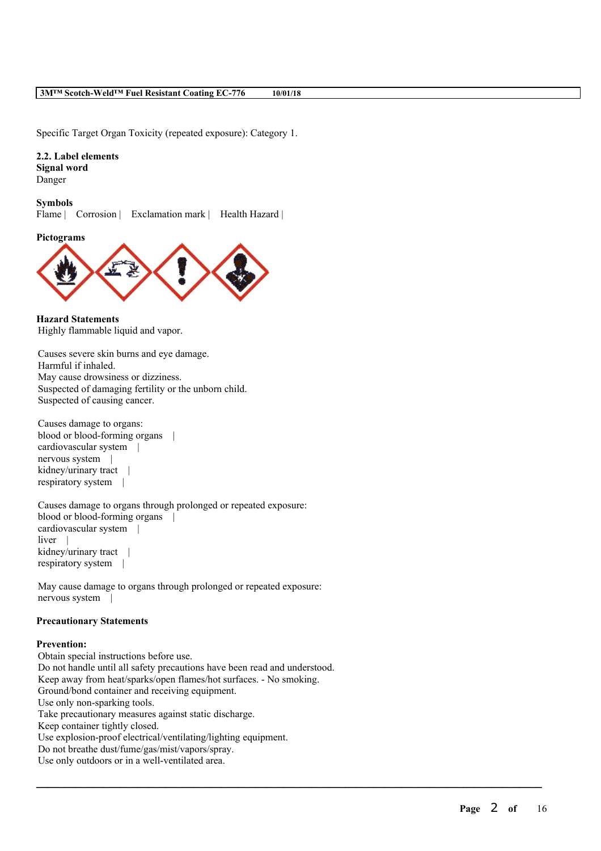Specific Target Organ Toxicity (repeated exposure): Category 1.

**2.2. Label elements Signal word** Danger

**Symbols** Flame | Corrosion | Exclamation mark | Health Hazard |





**Hazard Statements** Highly flammable liquid and vapor.

Causes severe skin burns and eye damage. Harmful if inhaled. May cause drowsiness or dizziness. Suspected of damaging fertility or the unborn child. Suspected of causing cancer.

Causes damage to organs: blood or blood-forming organs | cardiovascular system | nervous system | kidney/urinary tract | respiratory system |

Causes damage to organs through prolonged or repeated exposure: blood or blood-forming organs | cardiovascular system | liver kidney/urinary tract | respiratory system |

May cause damage to organs through prolonged or repeated exposure: nervous system |

### **Precautionary Statements**

### **Prevention:**

Obtain special instructions before use. Do not handle until all safety precautions have been read and understood. Keep away from heat/sparks/open flames/hot surfaces. - No smoking. Ground/bond container and receiving equipment. Use only non-sparking tools. Take precautionary measures against static discharge. Keep container tightly closed. Use explosion-proof electrical/ventilating/lighting equipment. Do not breathe dust/fume/gas/mist/vapors/spray. Use only outdoors or in a well-ventilated area.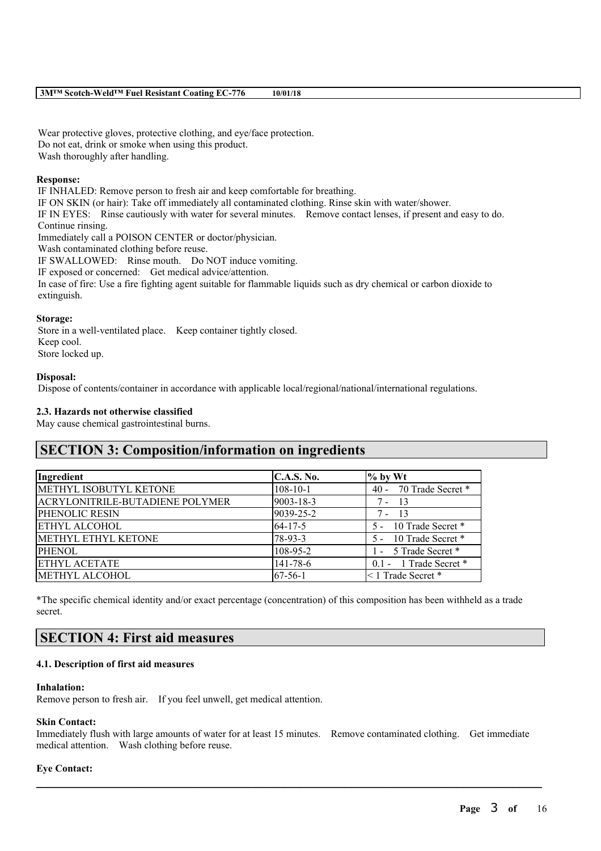Wear protective gloves, protective clothing, and eye/face protection. Do not eat, drink or smoke when using this product. Wash thoroughly after handling.

### **Response:**

IF INHALED: Remove person to fresh air and keep comfortable for breathing. IF ON SKIN (or hair): Take off immediately all contaminated clothing. Rinse skin with water/shower. IF IN EYES: Rinse cautiously with water for several minutes. Remove contact lenses, if present and easy to do. Continue rinsing. Immediately call a POISON CENTER or doctor/physician. Wash contaminated clothing before reuse. IF SWALLOWED: Rinse mouth. Do NOT induce vomiting. IF exposed or concerned: Get medical advice/attention. In case of fire: Use a fire fighting agent suitable for flammable liquids such as dry chemical or carbon dioxide to extinguish.

### **Storage:**

Store in a well-ventilated place. Keep container tightly closed. Keep cool. Store locked up.

### **Disposal:**

Dispose of contents/container in accordance with applicable local/regional/national/international regulations.

### **2.3. Hazards not otherwise classified**

May cause chemical gastrointestinal burns.

## **SECTION 3: Composition/information on ingredients**

| Ingredient                             | <b>C.A.S. No.</b> | $%$ by Wt               |
|----------------------------------------|-------------------|-------------------------|
| METHYL ISOBUTYL KETONE                 | $108 - 10 - 1$    | 40 - 70 Trade Secret *  |
| <b>ACRYLONITRILE-BUTADIENE POLYMER</b> | 9003-18-3         | $7 - 13$                |
| PHENOLIC RESIN                         | 9039-25-2         | $7 - 13$                |
| <b>ETHYL ALCOHOL</b>                   | $64 - 17 - 5$     | 5 - 10 Trade Secret *   |
| METHYL ETHYL KETONE                    | 78-93-3           | 5 - 10 Trade Secret *   |
| <b>PHENOL</b>                          | 108-95-2          | 1 - 5 Trade Secret *    |
| <b>ETHYL ACETATE</b>                   | $141 - 78 - 6$    | 0.1 - 1 Trade Secret *  |
| <b>METHYL ALCOHOL</b>                  | $67-56-1$         | $\leq 1$ Trade Secret * |

\*The specific chemical identity and/or exact percentage (concentration) of this composition has been withheld as a trade secret.

# **SECTION 4: First aid measures**

### **4.1. Description of first aid measures**

### **Inhalation:**

Remove person to fresh air. If you feel unwell, get medical attention.

### **Skin Contact:**

Immediately flush with large amounts of water for at least 15 minutes. Remove contaminated clothing. Get immediate medical attention. Wash clothing before reuse.

 $\mathcal{L}_\mathcal{L} = \mathcal{L}_\mathcal{L} = \mathcal{L}_\mathcal{L} = \mathcal{L}_\mathcal{L} = \mathcal{L}_\mathcal{L} = \mathcal{L}_\mathcal{L} = \mathcal{L}_\mathcal{L} = \mathcal{L}_\mathcal{L} = \mathcal{L}_\mathcal{L} = \mathcal{L}_\mathcal{L} = \mathcal{L}_\mathcal{L} = \mathcal{L}_\mathcal{L} = \mathcal{L}_\mathcal{L} = \mathcal{L}_\mathcal{L} = \mathcal{L}_\mathcal{L} = \mathcal{L}_\mathcal{L} = \mathcal{L}_\mathcal{L}$ 

### **Eye Contact:**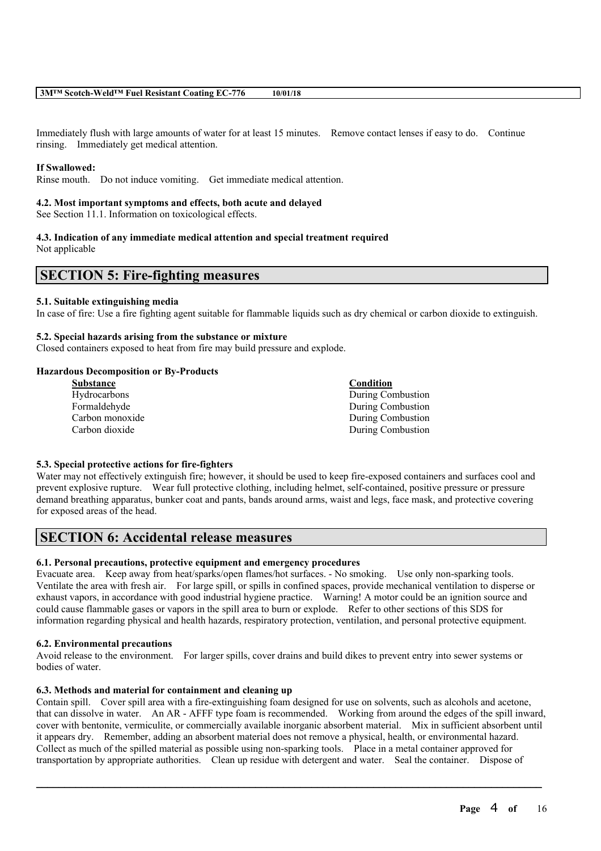Immediately flush with large amounts of water for at least 15 minutes. Remove contact lenses if easy to do. Continue rinsing. Immediately get medical attention.

### **If Swallowed:**

Rinse mouth. Do not induce vomiting. Get immediate medical attention.

### **4.2. Most important symptoms and effects, both acute and delayed**

See Section 11.1. Information on toxicological effects.

### **4.3. Indication of any immediate medical attention and special treatment required** Not applicable

## **SECTION 5: Fire-fighting measures**

### **5.1. Suitable extinguishing media**

In case of fire: Use a fire fighting agent suitable for flammable liquids such as dry chemical or carbon dioxide to extinguish.

### **5.2. Special hazards arising from the substance or mixture**

Closed containers exposed to heat from fire may build pressure and explode.

### **Hazardous Decomposition or By-Products**

| <b>Substance</b>    | Condition         |
|---------------------|-------------------|
| <b>Hydrocarbons</b> | During Combustion |
| Formaldehyde        | During Combustion |
| Carbon monoxide     | During Combustion |
| Carbon dioxide      | During Combustion |

### **5.3. Special protective actions for fire-fighters**

Water may not effectively extinguish fire; however, it should be used to keep fire-exposed containers and surfaces cool and prevent explosive rupture. Wear full protective clothing, including helmet, self-contained, positive pressure or pressure demand breathing apparatus, bunker coat and pants, bands around arms, waist and legs, face mask, and protective covering for exposed areas of the head.

## **SECTION 6: Accidental release measures**

## **6.1. Personal precautions, protective equipment and emergency procedures**

Evacuate area. Keep away from heat/sparks/open flames/hot surfaces. - No smoking. Use only non-sparking tools. Ventilate the area with fresh air. For large spill, or spills in confined spaces, provide mechanical ventilation to disperse or exhaust vapors, in accordance with good industrial hygiene practice. Warning! A motor could be an ignition source and could cause flammable gases or vapors in the spill area to burn or explode. Refer to other sections of this SDS for information regarding physical and health hazards, respiratory protection, ventilation, and personal protective equipment.

### **6.2. Environmental precautions**

Avoid release to the environment. For larger spills, cover drains and build dikes to prevent entry into sewer systems or bodies of water.

## **6.3. Methods and material for containment and cleaning up**

Contain spill. Cover spill area with a fire-extinguishing foam designed for use on solvents, such as alcohols and acetone, that can dissolve in water. An AR - AFFF type foam is recommended. Working from around the edges of the spill inward, cover with bentonite, vermiculite, or commercially available inorganic absorbent material. Mix in sufficient absorbent until it appears dry. Remember, adding an absorbent material does not remove a physical, health, or environmental hazard. Collect as much of the spilled material as possible using non-sparking tools. Place in a metal container approved for transportation by appropriate authorities. Clean up residue with detergent and water. Seal the container. Dispose of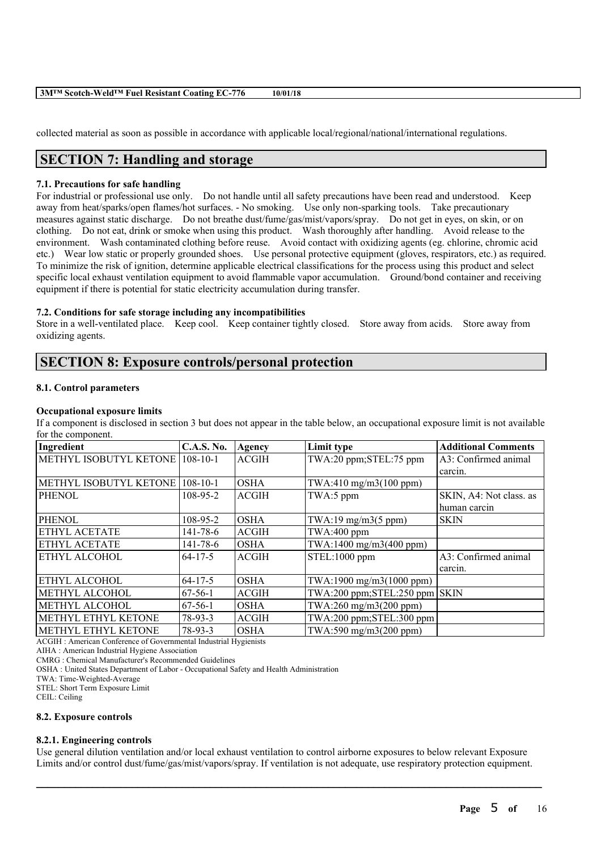| 3MTM Scotch-Weld™ Fuel Resistant Coating EC-776 | 10/01/18 |  |
|-------------------------------------------------|----------|--|
|-------------------------------------------------|----------|--|

collected material as soon as possible in accordance with applicable local/regional/national/international regulations.

# **SECTION 7: Handling and storage**

### **7.1. Precautions for safe handling**

For industrial or professional use only. Do not handle until all safety precautions have been read and understood. Keep away from heat/sparks/open flames/hot surfaces. - No smoking. Use only non-sparking tools. Take precautionary measures against static discharge. Do not breathe dust/fume/gas/mist/vapors/spray. Do not get in eyes, on skin, or on clothing. Do not eat, drink or smoke when using this product. Wash thoroughly after handling. Avoid release to the environment. Wash contaminated clothing before reuse. Avoid contact with oxidizing agents (eg. chlorine, chromic acid etc.) Wear low static or properly grounded shoes. Use personal protective equipment (gloves, respirators, etc.) as required. To minimize the risk of ignition, determine applicable electrical classifications for the process using this product and select specific local exhaust ventilation equipment to avoid flammable vapor accumulation. Ground/bond container and receiving equipment if there is potential for static electricity accumulation during transfer.

### **7.2. Conditions for safe storage including any incompatibilities**

Store in a well-ventilated place. Keep cool. Keep container tightly closed. Store away from acids. Store away from oxidizing agents.

## **SECTION 8: Exposure controls/personal protection**

### **8.1. Control parameters**

### **Occupational exposure limits**

If a component is disclosed in section 3 but does not appear in the table below, an occupational exposure limit is not available for the component.

| Ingredient             | <b>C.A.S. No.</b> | <b>Agency</b> | Limit type                           | <b>Additional Comments</b> |
|------------------------|-------------------|---------------|--------------------------------------|----------------------------|
| METHYL ISOBUTYL KETONE | $108 - 10 - 1$    | <b>ACGIH</b>  | TWA:20 ppm;STEL:75 ppm               | A3: Confirmed animal       |
|                        |                   |               |                                      | carcin.                    |
| METHYL ISOBUTYL KETONE | $108 - 10 - 1$    | <b>OSHA</b>   | TWA:410 mg/m3(100 ppm)               |                            |
| PHENOL                 | 108-95-2          | <b>ACGIH</b>  | TWA:5 ppm                            | SKIN, A4: Not class. as    |
|                        |                   |               |                                      | human carcin               |
| PHENOL                 | 108-95-2          | <b>OSHA</b>   | TWA:19 mg/m3(5 ppm)                  | <b>SKIN</b>                |
| ETHYL ACETATE          | 141-78-6          | <b>ACGIH</b>  | TWA:400 ppm                          |                            |
| ETHYL ACETATE          | 141-78-6          | <b>OSHA</b>   | TWA:1400 mg/m3(400 ppm)              |                            |
| ETHYL ALCOHOL          | $64 - 17 - 5$     | <b>ACGIH</b>  | STEL:1000 ppm                        | A3: Confirmed animal       |
|                        |                   |               |                                      | carcin.                    |
| ETHYL ALCOHOL          | $64 - 17 - 5$     | <b>OSHA</b>   | TWA:1900 mg/m3(1000 ppm)             |                            |
| METHYL ALCOHOL         | $67-56-1$         | <b>ACGIH</b>  | $TWA:200$ ppm; $STEL:250$ ppm $SKIN$ |                            |
| METHYL ALCOHOL         | $67-56-1$         | <b>OSHA</b>   | TWA:260 mg/m3(200 ppm)               |                            |
| METHYL ETHYL KETONE    | 78-93-3           | <b>ACGIH</b>  | $TWA:200$ ppm; $STEL:300$ ppm        |                            |
| METHYL ETHYL KETONE    | $78-93-3$         | <b>OSHA</b>   | TWA:590 mg/m3(200 ppm)               |                            |

ACGIH : American Conference of Governmental Industrial Hygienists

AIHA : American Industrial Hygiene Association

CMRG : Chemical Manufacturer's Recommended Guidelines

OSHA : United States Department of Labor - Occupational Safety and Health Administration

TWA: Time-Weighted-Average

STEL: Short Term Exposure Limit

CEIL: Ceiling

### **8.2. Exposure controls**

### **8.2.1. Engineering controls**

Use general dilution ventilation and/or local exhaust ventilation to control airborne exposures to below relevant Exposure Limits and/or control dust/fume/gas/mist/vapors/spray. If ventilation is not adequate, use respiratory protection equipment.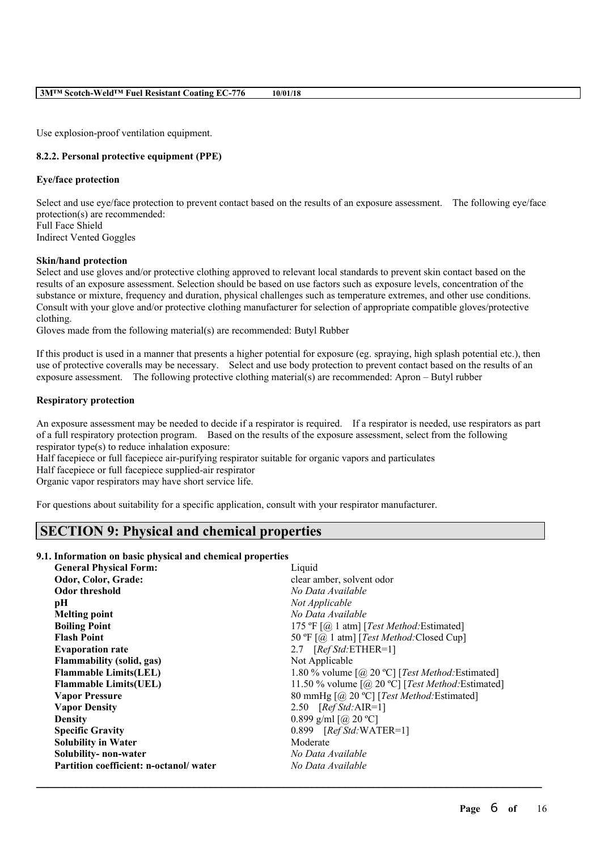Use explosion-proof ventilation equipment.

### **8.2.2. Personal protective equipment (PPE)**

### **Eye/face protection**

Select and use eye/face protection to prevent contact based on the results of an exposure assessment. The following eye/face protection(s) are recommended: Full Face Shield Indirect Vented Goggles

### **Skin/hand protection**

Select and use gloves and/or protective clothing approved to relevant local standards to prevent skin contact based on the results of an exposure assessment. Selection should be based on use factors such as exposure levels, concentration of the substance or mixture, frequency and duration, physical challenges such as temperature extremes, and other use conditions. Consult with your glove and/or protective clothing manufacturer for selection of appropriate compatible gloves/protective clothing.

Gloves made from the following material(s) are recommended: Butyl Rubber

If this product is used in a manner that presents a higher potential for exposure (eg. spraying, high splash potential etc.), then use of protective coveralls may be necessary. Select and use body protection to prevent contact based on the results of an exposure assessment. The following protective clothing material(s) are recommended: Apron – Butyl rubber

### **Respiratory protection**

An exposure assessment may be needed to decide if a respirator is required. If a respirator is needed, use respirators as part of a full respiratory protection program. Based on the results of the exposure assessment, select from the following respirator type(s) to reduce inhalation exposure:

Half facepiece or full facepiece air-purifying respirator suitable for organic vapors and particulates

Half facepiece or full facepiece supplied-air respirator

Organic vapor respirators may have short service life.

For questions about suitability for a specific application, consult with your respirator manufacturer.

## **SECTION 9: Physical and chemical properties**

### **9.1. Information on basic physical and chemical properties**

| <b>General Physical Form:</b>          | Liquid                                                                                |
|----------------------------------------|---------------------------------------------------------------------------------------|
| Odor, Color, Grade:                    | clear amber, solvent odor                                                             |
| <b>Odor threshold</b>                  | No Data Available                                                                     |
| pН                                     | Not Applicable                                                                        |
| <b>Melting point</b>                   | No Data Available                                                                     |
| <b>Boiling Point</b>                   | 175 °F [ $@$ 1 atm] [Test Method: Estimated]                                          |
| <b>Flash Point</b>                     | 50 °F [@ 1 atm] [Test Method: Closed Cup]                                             |
| <b>Evaporation rate</b>                | 2.7 $[RefStd:ETHER=1]$                                                                |
| <b>Flammability (solid, gas)</b>       | Not Applicable                                                                        |
| <b>Flammable Limits(LEL)</b>           | 1.80 % volume $\lceil \omega \rceil$ 20 °C $\lceil$ [ <i>Test Method</i> : Estimated] |
| <b>Flammable Limits(UEL)</b>           | 11.50 % volume $\lceil$ (@ 20 °C) [Test Method: Estimated]                            |
| <b>Vapor Pressure</b>                  | 80 mmHg [@ 20 °C] [Test Method: Estimated]                                            |
| <b>Vapor Density</b>                   | 2.50 $[RefStd:AIR=1]$                                                                 |
| <b>Density</b>                         | 0.899 g/ml $[@]$ 20 °C]                                                               |
| <b>Specific Gravity</b>                | $0.899$ [Ref Std: WATER=1]                                                            |
| <b>Solubility in Water</b>             | Moderate                                                                              |
| Solubility- non-water                  | No Data Available                                                                     |
| Partition coefficient: n-octanol/water | No Data Available                                                                     |
|                                        |                                                                                       |
|                                        |                                                                                       |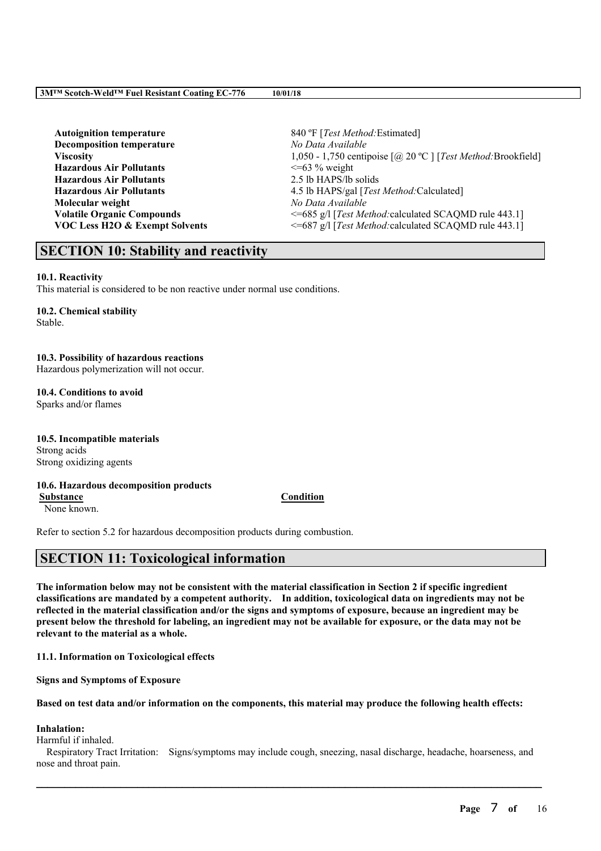**Autoignition temperature** 840 ºF [*Test Method:*Estimated] **Decomposition temperature** *No Data Available* **Hazardous Air Pollutants** <=63 % weight **Hazardous Air Pollutants** 2.5 lb HAPS/lb solids **Molecular weight** *No Data Available*

**Viscosity** 1,050 - 1,750 centipoise  $\lceil \omega \rceil$  [*Test Method:* Brookfield] **Hazardous Air Pollutants** 4.5 lb HAPS/gal [*Test Method:*Calculated] **Volatile Organic Compounds** <=685 g/l [*Test Method:calculated SCAQMD rule 443.1]* **VOC Less H2O & Exempt Solvents** <=687 g/l [*Test Method:*calculated SCAQMD rule 443.1]

## **SECTION 10: Stability and reactivity**

### **10.1. Reactivity**

This material is considered to be non reactive under normal use conditions.

### **10.2. Chemical stability** Stable.

## **10.3. Possibility of hazardous reactions**

Hazardous polymerization will not occur.

## **10.4. Conditions to avoid**

Sparks and/or flames

## **10.5. Incompatible materials** Strong acids Strong oxidizing agents

**10.6. Hazardous decomposition products Substance Condition**

None known.

Refer to section 5.2 for hazardous decomposition products during combustion.

# **SECTION 11: Toxicological information**

The information below may not be consistent with the material classification in Section 2 if specific ingredient **classifications are mandated by a competent authority. In addition, toxicological data on ingredients may not be** reflected in the material classification and/or the signs and symptoms of exposure, because an ingredient may be present below the threshold for labeling, an ingredient may not be available for exposure, or the data may not be **relevant to the material as a whole.**

**11.1. Information on Toxicological effects**

**Signs and Symptoms of Exposure**

Based on test data and/or information on the components, this material may produce the following health effects:

## **Inhalation:**

Harmful if inhaled.

Respiratory Tract Irritation: Signs/symptoms may include cough, sneezing, nasal discharge, headache, hoarseness, and nose and throat pain.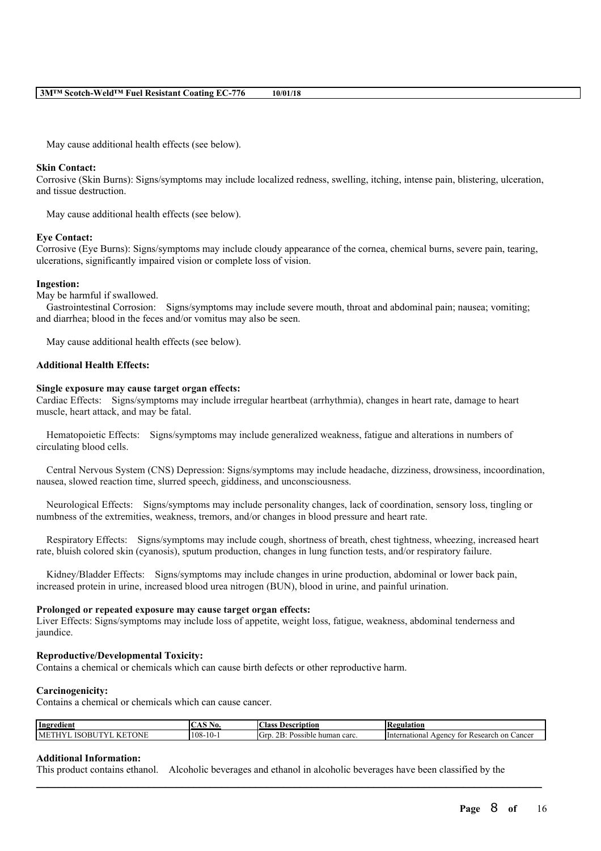May cause additional health effects (see below).

### **Skin Contact:**

Corrosive (Skin Burns): Signs/symptoms may include localized redness, swelling, itching, intense pain, blistering, ulceration, and tissue destruction.

May cause additional health effects (see below).

### **Eye Contact:**

Corrosive (Eye Burns): Signs/symptoms may include cloudy appearance of the cornea, chemical burns, severe pain, tearing, ulcerations, significantly impaired vision or complete loss of vision.

### **Ingestion:**

May be harmful if swallowed.

Gastrointestinal Corrosion: Signs/symptoms may include severe mouth, throat and abdominal pain; nausea; vomiting; and diarrhea; blood in the feces and/or vomitus may also be seen.

May cause additional health effects (see below).

### **Additional Health Effects:**

### **Single exposure may cause target organ effects:**

Cardiac Effects: Signs/symptoms may include irregular heartbeat (arrhythmia), changes in heart rate, damage to heart muscle, heart attack, and may be fatal.

Hematopoietic Effects: Signs/symptoms may include generalized weakness, fatigue and alterations in numbers of circulating blood cells.

Central Nervous System (CNS) Depression: Signs/symptoms may include headache, dizziness, drowsiness, incoordination, nausea, slowed reaction time, slurred speech, giddiness, and unconsciousness.

Neurological Effects: Signs/symptoms may include personality changes, lack of coordination, sensory loss, tingling or numbness of the extremities, weakness, tremors, and/or changes in blood pressure and heart rate.

Respiratory Effects: Signs/symptoms may include cough, shortness of breath, chest tightness, wheezing, increased heart rate, bluish colored skin (cyanosis), sputum production, changes in lung function tests, and/or respiratory failure.

Kidney/Bladder Effects: Signs/symptoms may include changes in urine production, abdominal or lower back pain, increased protein in urine, increased blood urea nitrogen (BUN), blood in urine, and painful urination.

### **Prolonged or repeated exposure may cause target organ effects:**

Liver Effects: Signs/symptoms may include loss of appetite, weight loss, fatigue, weakness, abdominal tenderness and jaundice.

### **Reproductive/Developmental Toxicity:**

Contains a chemical or chemicals which can cause birth defects or other reproductive harm.

### **Carcinogenicity:**

Contains a chemical or chemicals which can cause cancer.

| Ingredient                            | $\sim$ $\sim$<br>NO.  | :las:<br>Description                                                                    | 'egulation                                                                          |
|---------------------------------------|-----------------------|-----------------------------------------------------------------------------------------|-------------------------------------------------------------------------------------|
| <b>TONE</b><br>MF<br>ſC<br>')RI<br>н. | ۱۸٥<br>- 118-<br>- 77 | $\sim$<br>$\mathbf{u}$<br><b>The Second Service</b><br>human carc.<br>Vocethu<br>osside | mationai<br>∙ on<br>llnter <sup>*</sup><br>Cancer<br>Kesearch<br>vgency<br>tor<br>⊷ |

 $\mathcal{L}_\mathcal{L} = \mathcal{L}_\mathcal{L} = \mathcal{L}_\mathcal{L} = \mathcal{L}_\mathcal{L} = \mathcal{L}_\mathcal{L} = \mathcal{L}_\mathcal{L} = \mathcal{L}_\mathcal{L} = \mathcal{L}_\mathcal{L} = \mathcal{L}_\mathcal{L} = \mathcal{L}_\mathcal{L} = \mathcal{L}_\mathcal{L} = \mathcal{L}_\mathcal{L} = \mathcal{L}_\mathcal{L} = \mathcal{L}_\mathcal{L} = \mathcal{L}_\mathcal{L} = \mathcal{L}_\mathcal{L} = \mathcal{L}_\mathcal{L}$ 

### **Additional Information:**

This product contains ethanol. Alcoholic beverages and ethanol in alcoholic beverages have been classified by the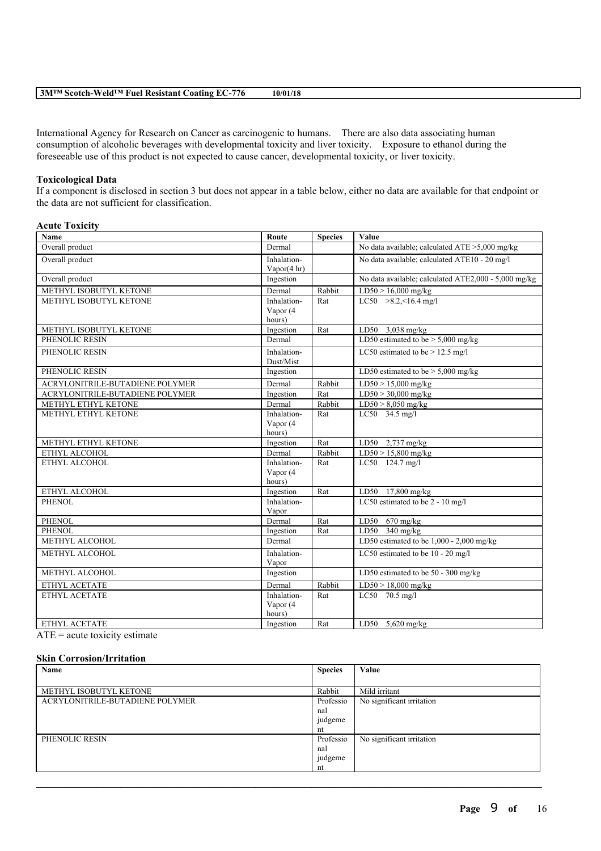|--|

International Agency for Research on Cancer as carcinogenic to humans. There are also data associating human consumption of alcoholic beverages with developmental toxicity and liver toxicity. Exposure to ethanol during the foreseeable use of this product is not expected to cause cancer, developmental toxicity, or liver toxicity.

### **Toxicological Data**

If a component is disclosed in section 3 but does not appear in a table below, either no data are available for that endpoint or the data are not sufficient for classification.

### **Acute Toxicity**

| Name                                                                                                                                                                                                                                                  | Route                             | <b>Species</b> | Value                                                |
|-------------------------------------------------------------------------------------------------------------------------------------------------------------------------------------------------------------------------------------------------------|-----------------------------------|----------------|------------------------------------------------------|
| Overall product                                                                                                                                                                                                                                       | Dermal                            |                | No data available; calculated ATE >5,000 mg/kg       |
| Overall product                                                                                                                                                                                                                                       | Inhalation-<br>Vapor(4 hr)        |                | No data available; calculated ATE10 - 20 mg/l        |
| Overall product                                                                                                                                                                                                                                       | Ingestion                         |                | No data available; calculated ATE2,000 - 5,000 mg/kg |
| METHYL ISOBUTYL KETONE                                                                                                                                                                                                                                | Dermal                            | Rabbit         | $LD50 > 16,000$ mg/kg                                |
| METHYL ISOBUTYL KETONE                                                                                                                                                                                                                                | Inhalation-<br>Vapor (4<br>hours) | Rat            | $LC50$ >8.2, <16.4 mg/l                              |
| METHYL ISOBUTYL KETONE                                                                                                                                                                                                                                | Ingestion                         | Rat            | LD50 $3,038$ mg/kg                                   |
| PHENOLIC RESIN                                                                                                                                                                                                                                        | Dermal                            |                | LD50 estimated to be $> 5,000$ mg/kg                 |
| PHENOLIC RESIN                                                                                                                                                                                                                                        | Inhalation-<br>Dust/Mist          |                | LC50 estimated to be $> 12.5$ mg/l                   |
| PHENOLIC RESIN                                                                                                                                                                                                                                        | Ingestion                         |                | LD50 estimated to be $> 5,000$ mg/kg                 |
| ACRYLONITRILE-BUTADIENE POLYMER                                                                                                                                                                                                                       | Dermal                            | Rabbit         | $LD50 > 15,000$ mg/kg                                |
| ACRYLONITRILE-BUTADIENE POLYMER                                                                                                                                                                                                                       | Ingestion                         | Rat            | $LD50 > 30,000$ mg/kg                                |
| METHYL ETHYL KETONE                                                                                                                                                                                                                                   | Dermal                            | Rabbit         | $LD50 > 8,050$ mg/kg                                 |
| METHYL ETHYL KETONE                                                                                                                                                                                                                                   | Inhalation-                       | Rat            | $LC50$ 34.5 mg/l                                     |
|                                                                                                                                                                                                                                                       | Vapor (4<br>hours)                |                |                                                      |
| METHYL ETHYL KETONE                                                                                                                                                                                                                                   | Ingestion                         | Rat            | LD50 2,737 mg/kg                                     |
| ETHYL ALCOHOL                                                                                                                                                                                                                                         | Dermal                            | Rabbit         | $LD50 > 15,800$ mg/kg                                |
| ETHYL ALCOHOL                                                                                                                                                                                                                                         | Inhalation-<br>Vapor (4<br>hours) | Rat            | LC50 124.7 mg/l                                      |
| ETHYL ALCOHOL                                                                                                                                                                                                                                         | Ingestion                         | Rat            | LD50 17,800 mg/kg                                    |
| PHENOL                                                                                                                                                                                                                                                | Inhalation-<br>Vapor              |                | LC50 estimated to be $2 - 10$ mg/l                   |
| <b>PHENOL</b>                                                                                                                                                                                                                                         | Dermal                            | Rat            | LD50 $670$ mg/kg                                     |
| <b>PHENOL</b>                                                                                                                                                                                                                                         | Ingestion                         | Rat            | $LD50$ 340 mg/kg                                     |
| METHYL ALCOHOL                                                                                                                                                                                                                                        | Dermal                            |                | LD50 estimated to be $1,000 - 2,000$ mg/kg           |
| METHYL ALCOHOL                                                                                                                                                                                                                                        | Inhalation-<br>Vapor              |                | LC50 estimated to be 10 - 20 mg/l                    |
| METHYL ALCOHOL                                                                                                                                                                                                                                        | Ingestion                         |                | LD50 estimated to be 50 - 300 mg/kg                  |
| ETHYL ACETATE                                                                                                                                                                                                                                         | Dermal                            | Rabbit         | $LD50 > 18,000$ mg/kg                                |
| ETHYL ACETATE                                                                                                                                                                                                                                         | Inhalation-<br>Vapor (4<br>hours) | Rat            | LC50 70.5 mg/l                                       |
| ETHYL ACETATE<br>$\Lambda$ TPT $\sim$ . The set of the set of the set of the set of the set of the set of the set of the set of the set of the set of the set of the set of the set of the set of the set of the set of the set of the set of the set | Ingestion                         | Rat            | LD50 5,620 mg/kg                                     |

 $ATE = acute$  toxicity estimate

### **Skin Corrosion/Irritation**

| Name                            | <b>Species</b> | Value                     |
|---------------------------------|----------------|---------------------------|
|                                 |                |                           |
| METHYL ISOBUTYL KETONE          | Rabbit         | Mild irritant             |
| ACRYLONITRILE-BUTADIENE POLYMER | Professio      | No significant irritation |
|                                 | nal            |                           |
|                                 | judgeme        |                           |
|                                 | nt             |                           |
| PHENOLIC RESIN                  | Professio      | No significant irritation |
|                                 | nal            |                           |
|                                 | judgeme        |                           |
|                                 | nt             |                           |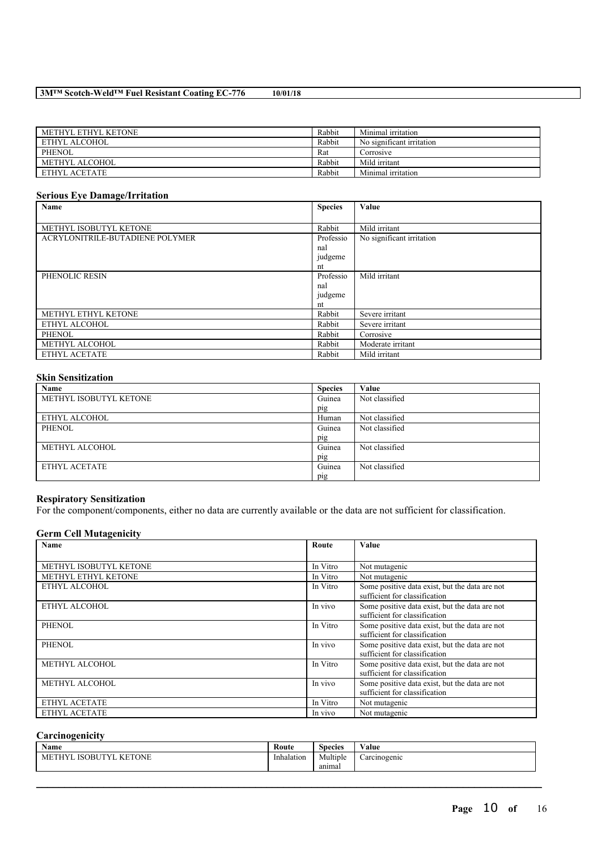| METHYL ETHYL KETONE | Rabbit | Minimal irritation        |
|---------------------|--------|---------------------------|
| ETHYL ALCOHOL       | Rabbit | No significant irritation |
| PHENOL              | Rat    | Corrosive                 |
| METHYL ALCOHOL      | Rabbit | Mild irritant             |
| ETHYL ACETATE       | Rabbit | Minimal irritation        |

### **Serious Eye Damage/Irritation**

| Name                            | <b>Species</b> | Value                     |
|---------------------------------|----------------|---------------------------|
|                                 |                |                           |
| METHYL ISOBUTYL KETONE          | Rabbit         | Mild irritant             |
| ACRYLONITRILE-BUTADIENE POLYMER | Professio      | No significant irritation |
|                                 | nal            |                           |
|                                 | judgeme        |                           |
|                                 | nt             |                           |
| PHENOLIC RESIN                  | Professio      | Mild irritant             |
|                                 | nal            |                           |
|                                 | judgeme        |                           |
|                                 | nt             |                           |
| METHYL ETHYL KETONE             | Rabbit         | Severe irritant           |
| ETHYL ALCOHOL                   | Rabbit         | Severe irritant           |
| <b>PHENOL</b>                   | Rabbit         | Corrosive                 |
| METHYL ALCOHOL                  | Rabbit         | Moderate irritant         |
| ETHYL ACETATE                   | Rabbit         | Mild irritant             |

### **Skin Sensitization**

| Name                   | <b>Species</b> | Value          |
|------------------------|----------------|----------------|
| METHYL ISOBUTYL KETONE | Guinea         | Not classified |
|                        | pig            |                |
| ETHYL ALCOHOL          | Human          | Not classified |
| <b>PHENOL</b>          | Guinea         | Not classified |
|                        | pig            |                |
| METHYL ALCOHOL         | Guinea         | Not classified |
|                        | pig            |                |
| ETHYL ACETATE          | Guinea         | Not classified |
|                        | pig            |                |

## **Respiratory Sensitization**

For the component/components, either no data are currently available or the data are not sufficient for classification.

## **Germ Cell Mutagenicity**

| <b>Name</b>            | Route    | Value                                                                           |
|------------------------|----------|---------------------------------------------------------------------------------|
|                        |          |                                                                                 |
| METHYL ISOBUTYL KETONE | In Vitro | Not mutagenic                                                                   |
| METHYL ETHYL KETONE    | In Vitro | Not mutagenic                                                                   |
| ETHYL ALCOHOL          | In Vitro | Some positive data exist, but the data are not<br>sufficient for classification |
| ETHYL ALCOHOL          | In vivo  | Some positive data exist, but the data are not<br>sufficient for classification |
| <b>PHENOL</b>          | In Vitro | Some positive data exist, but the data are not<br>sufficient for classification |
| PHENOL                 | In vivo  | Some positive data exist, but the data are not<br>sufficient for classification |
| METHYL ALCOHOL         | In Vitro | Some positive data exist, but the data are not<br>sufficient for classification |
| METHYL ALCOHOL         | In vivo  | Some positive data exist, but the data are not<br>sufficient for classification |
| ETHYL ACETATE          | In Vitro | Not mutagenic                                                                   |
| ETHYL ACETATE          | In vivo  | Not mutagenic                                                                   |

## **Carcinogenicity**

| $\mathbf{v}$<br>Name                         | Route             | Species  | $\mathbf{v}$ $\mathbf{v}$<br>⁄ alue |
|----------------------------------------------|-------------------|----------|-------------------------------------|
| <b>KETONE</b><br>ISOBU<br>ITV<br>$ME^{\tau}$ | . .<br>Inhalation | Multiple | Carcinogenic                        |
|                                              |                   | anımal   |                                     |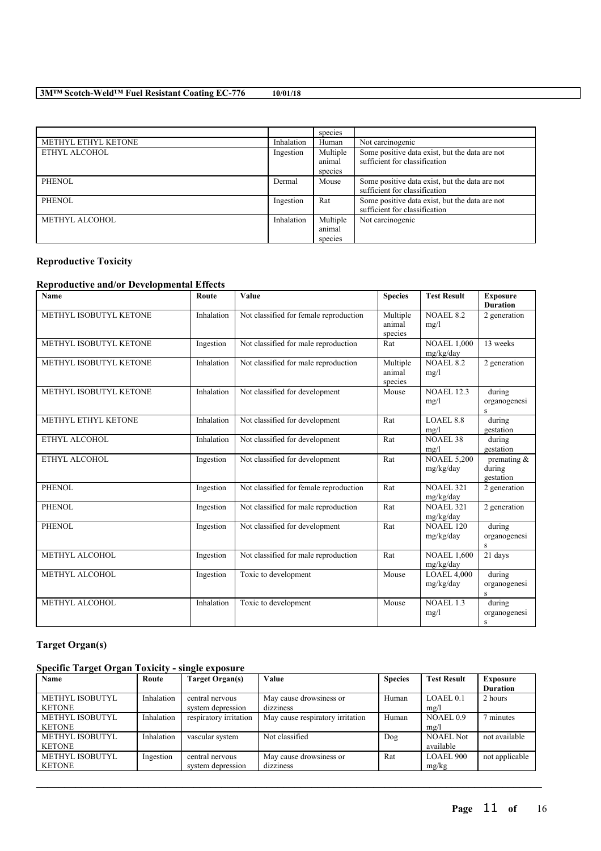|                     |            | species  |                                                |
|---------------------|------------|----------|------------------------------------------------|
| METHYL ETHYL KETONE | Inhalation | Human    | Not carcinogenic                               |
| ETHYL ALCOHOL       | Ingestion  | Multiple | Some positive data exist, but the data are not |
|                     |            | animal   | sufficient for classification                  |
|                     |            | species  |                                                |
| <b>PHENOL</b>       | Dermal     | Mouse    | Some positive data exist, but the data are not |
|                     |            |          | sufficient for classification                  |
| <b>PHENOL</b>       | Ingestion  | Rat      | Some positive data exist, but the data are not |
|                     |            |          | sufficient for classification                  |
| METHYL ALCOHOL      | Inhalation | Multiple | Not carcinogenic                               |
|                     |            | animal   |                                                |
|                     |            | species  |                                                |

# **Reproductive Toxicity**

## **Reproductive and/or Developmental Effects**

| Name                   | Route      | Value                                  | <b>Species</b>                | <b>Test Result</b>              | <b>Exposure</b><br><b>Duration</b>                |
|------------------------|------------|----------------------------------------|-------------------------------|---------------------------------|---------------------------------------------------|
| METHYL ISOBUTYL KETONE | Inhalation | Not classified for female reproduction | Multiple<br>animal<br>species | <b>NOAEL 8.2</b><br>mg/l        | 2 generation                                      |
| METHYL ISOBUTYL KETONE | Ingestion  | Not classified for male reproduction   | Rat                           | <b>NOAEL 1,000</b><br>mg/kg/day | 13 weeks                                          |
| METHYL ISOBUTYL KETONE | Inhalation | Not classified for male reproduction   | Multiple<br>animal<br>species | <b>NOAEL 8.2</b><br>mg/l        | 2 generation                                      |
| METHYL ISOBUTYL KETONE | Inhalation | Not classified for development         | Mouse                         | <b>NOAEL 12.3</b><br>mg/l       | during<br>organogenesi<br>$\overline{\mathbf{s}}$ |
| METHYL ETHYL KETONE    | Inhalation | Not classified for development         | Rat                           | <b>LOAEL 8.8</b><br>mg/l        | during<br>gestation                               |
| ETHYL ALCOHOL          | Inhalation | Not classified for development         | Rat                           | <b>NOAEL 38</b><br>mg/l         | during<br>gestation                               |
| ETHYL ALCOHOL          | Ingestion  | Not classified for development         | Rat                           | <b>NOAEL 5,200</b><br>mg/kg/day | premating &<br>during<br>gestation                |
| <b>PHENOL</b>          | Ingestion  | Not classified for female reproduction | Rat                           | <b>NOAEL 321</b><br>mg/kg/day   | 2 generation                                      |
| <b>PHENOL</b>          | Ingestion  | Not classified for male reproduction   | Rat                           | <b>NOAEL 321</b><br>mg/kg/day   | 2 generation                                      |
| <b>PHENOL</b>          | Ingestion  | Not classified for development         | Rat                           | <b>NOAEL 120</b><br>mg/kg/day   | during<br>organogenesi<br>S                       |
| METHYL ALCOHOL         | Ingestion  | Not classified for male reproduction   | Rat                           | <b>NOAEL 1,600</b><br>mg/kg/day | 21 days                                           |
| METHYL ALCOHOL         | Ingestion  | Toxic to development                   | Mouse                         | <b>LOAEL 4,000</b><br>mg/kg/day | during<br>organogenesi<br>S                       |
| METHYL ALCOHOL         | Inhalation | Toxic to development                   | Mouse                         | <b>NOAEL 1.3</b><br>mg/l        | during<br>organogenesi<br>$\rm S$                 |

## **Target Organ(s)**

## **Specific Target Organ Toxicity - single exposure**

| Name                   | Route      | Target Organ(s)        | Value                            | <b>Species</b> | <b>Test Result</b>   | <b>Exposure</b> |
|------------------------|------------|------------------------|----------------------------------|----------------|----------------------|-----------------|
|                        |            |                        |                                  |                |                      | <b>Duration</b> |
| <b>METHYL ISOBUTYL</b> | Inhalation | central nervous        | May cause drowsiness or          | Human          | LOAEL <sub>0.1</sub> | 2 hours         |
| <b>KETONE</b>          |            | system depression      | dizziness                        |                | mg/l                 |                 |
| <b>METHYL ISOBUTYL</b> | Inhalation | respiratory irritation | May cause respiratory irritation | Human          | NOAEL0.9             | 7 minutes       |
| <b>KETONE</b>          |            |                        |                                  |                | mg/l                 |                 |
| METHYL ISOBUTYL        | Inhalation | vascular system        | Not classified                   | Dog            | <b>NOAEL Not</b>     | not available   |
| <b>KETONE</b>          |            |                        |                                  |                | available            |                 |
| <b>METHYL ISOBUTYL</b> | Ingestion  | central nervous        | May cause drowsiness or          | Rat            | LOAEL 900            | not applicable  |
| <b>KETONE</b>          |            | system depression      | dizziness                        |                | mg/kg                |                 |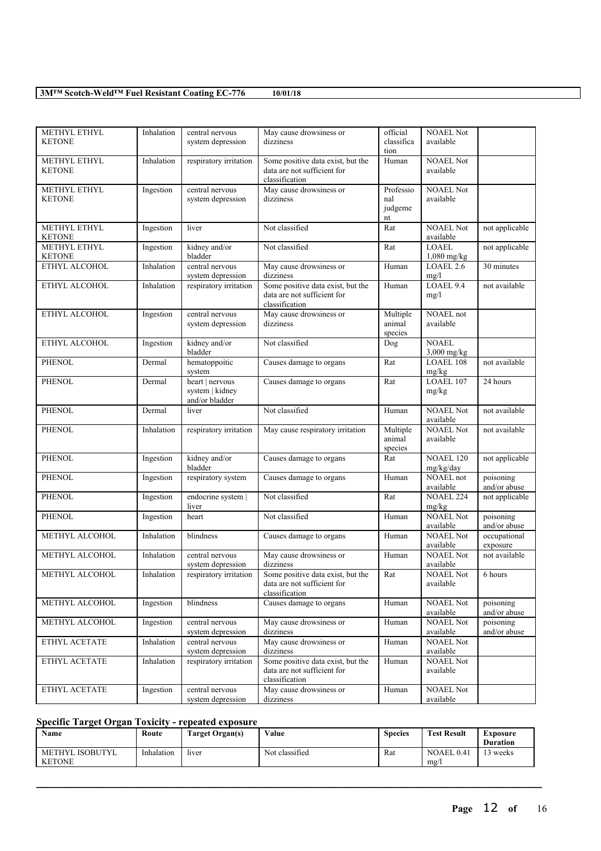| METHYL ETHYL<br><b>KETONE</b> | Inhalation | central nervous<br>system depression                 | May cause drowsiness or<br>dizziness                                               | official<br>classifica<br>tion    | <b>NOAEL Not</b><br>available |                           |
|-------------------------------|------------|------------------------------------------------------|------------------------------------------------------------------------------------|-----------------------------------|-------------------------------|---------------------------|
| METHYL ETHYL<br><b>KETONE</b> | Inhalation | respiratory irritation                               | Some positive data exist, but the<br>data are not sufficient for<br>classification | Human                             | <b>NOAEL Not</b><br>available |                           |
| METHYL ETHYL<br><b>KETONE</b> | Ingestion  | central nervous<br>system depression                 | May cause drowsiness or<br>dizziness                                               | Professio<br>nal<br>judgeme<br>nt | <b>NOAEL Not</b><br>available |                           |
| METHYL ETHYL<br><b>KETONE</b> | Ingestion  | liver                                                | Not classified                                                                     | Rat                               | <b>NOAEL Not</b><br>available | not applicable            |
| METHYL ETHYL<br><b>KETONE</b> | Ingestion  | kidney and/or<br>bladder                             | Not classified                                                                     | Rat                               | LOAEL<br>$1,080$ mg/kg        | not applicable            |
| ETHYL ALCOHOL                 | Inhalation | central nervous<br>system depression                 | May cause drowsiness or<br>dizziness                                               | Human                             | LOAEL 2.6<br>mg/l             | 30 minutes                |
| ETHYL ALCOHOL                 | Inhalation | respiratory irritation                               | Some positive data exist, but the<br>data are not sufficient for<br>classification | Human                             | LOAEL 9.4<br>mg/l             | not available             |
| ETHYL ALCOHOL                 | Ingestion  | central nervous<br>system depression                 | May cause drowsiness or<br>dizziness                                               | Multiple<br>animal<br>species     | NOAEL not<br>available        |                           |
| ETHYL ALCOHOL                 | Ingestion  | kidney and/or<br>bladder                             | Not classified                                                                     | Dog                               | <b>NOAEL</b><br>3,000 mg/kg   |                           |
| <b>PHENOL</b>                 | Dermal     | hematoppoitic<br>system                              | Causes damage to organs                                                            | Rat                               | <b>LOAEL 108</b><br>mg/kg     | not available             |
| <b>PHENOL</b>                 | Dermal     | heart   nervous<br>system   kidney<br>and/or bladder | Causes damage to organs                                                            | Rat                               | LOAEL 107<br>mg/kg            | 24 hours                  |
| <b>PHENOL</b>                 | Dermal     | liver                                                | Not classified                                                                     | Human                             | <b>NOAEL Not</b><br>available | not available             |
| <b>PHENOL</b>                 | Inhalation | respiratory irritation                               | May cause respiratory irritation                                                   | Multiple<br>animal<br>species     | <b>NOAEL Not</b><br>available | not available             |
| <b>PHENOL</b>                 | Ingestion  | kidney and/or<br>bladder                             | Causes damage to organs                                                            | Rat                               | NOAEL 120<br>mg/kg/day        | not applicable            |
| <b>PHENOL</b>                 | Ingestion  | respiratory system                                   | Causes damage to organs                                                            | Human                             | NOAEL not<br>available        | poisoning<br>and/or abuse |
| <b>PHENOL</b>                 | Ingestion  | endocrine system  <br>liver                          | Not classified                                                                     | Rat                               | <b>NOAEL 224</b><br>mg/kg     | not applicable            |
| <b>PHENOL</b>                 | Ingestion  | heart                                                | Not classified                                                                     | Human                             | <b>NOAEL Not</b><br>available | poisoning<br>and/or abuse |
| METHYL ALCOHOL                | Inhalation | blindness                                            | Causes damage to organs                                                            | Human                             | <b>NOAEL Not</b><br>available | occupational<br>exposure  |
| METHYL ALCOHOL                | Inhalation | central nervous<br>system depression                 | May cause drowsiness or<br>dizziness                                               | Human                             | <b>NOAEL Not</b><br>available | not available             |
| METHYL ALCOHOL                | Inhalation | respiratory irritation                               | Some positive data exist, but the<br>data are not sufficient for<br>classification | $\overline{R}at$                  | <b>NOAEL Not</b><br>available | 6 hours                   |
| METHYL ALCOHOL                | Ingestion  | blindness                                            | Causes damage to organs                                                            | Human                             | <b>NOAEL Not</b><br>available | poisoning<br>and/or abuse |
| METHYL ALCOHOL                | Ingestion  | central nervous<br>system depression                 | May cause drowsiness or<br>dizziness                                               | Human                             | <b>NOAEL Not</b><br>available | poisoning<br>and/or abuse |
| ETHYL ACETATE                 | Inhalation | central nervous<br>system depression                 | May cause drowsiness or<br>dizziness                                               | Human                             | <b>NOAEL Not</b><br>available |                           |
| ETHYL ACETATE                 | Inhalation | respiratory irritation                               | Some positive data exist, but the<br>data are not sufficient for<br>classification | Human                             | <b>NOAEL Not</b><br>available |                           |
| ETHYL ACETATE                 | Ingestion  | central nervous<br>system depression                 | May cause drowsiness or<br>dizziness                                               | Human                             | <b>NOAEL Not</b><br>available |                           |

## **Specific Target Organ Toxicity - repeated exposure**

| Name                             | Route      | <b>Target Organ(s)</b> | Value          | Species | <b>Test Result</b> | Exposure<br><b>Duration</b> |
|----------------------------------|------------|------------------------|----------------|---------|--------------------|-----------------------------|
| METHYL ISOBUTYL<br><b>KETONE</b> | Inhalation | liver                  | Not classified | Rat     | NOAEL 0.41<br>mg/1 | ' weeks                     |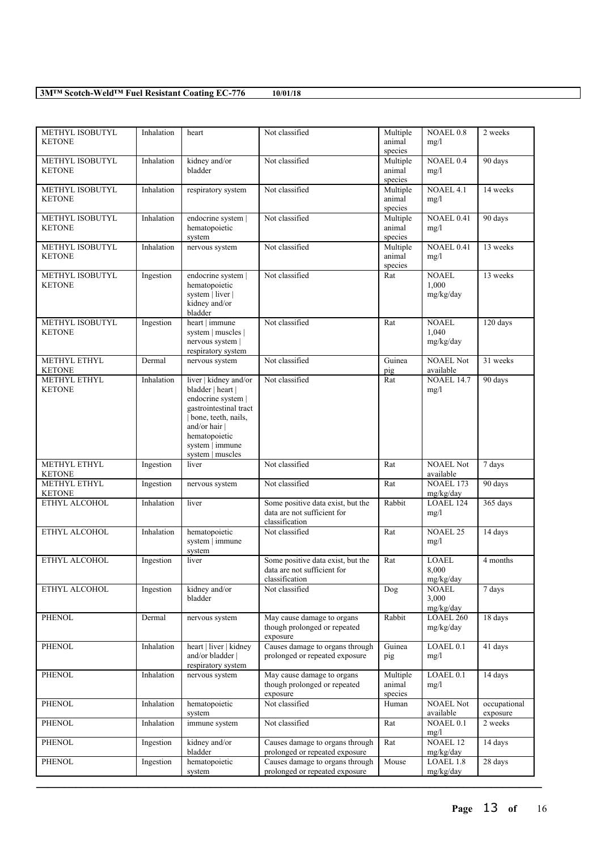| METHYL ISOBUTYL<br><b>KETONE</b>        | Inhalation | heart                                                                                                                                                                                    | Not classified                                                                     | Multiple<br>animal<br>species | <b>NOAEL 0.8</b><br>mg/l           | 2 weeks                  |
|-----------------------------------------|------------|------------------------------------------------------------------------------------------------------------------------------------------------------------------------------------------|------------------------------------------------------------------------------------|-------------------------------|------------------------------------|--------------------------|
| METHYL ISOBUTYL<br><b>KETONE</b>        | Inhalation | kidney and/or<br>bladder                                                                                                                                                                 | Not classified                                                                     | Multiple<br>animal<br>species | NOAEL 0.4<br>mg/l                  | 90 days                  |
| METHYL ISOBUTYL<br><b>KETONE</b>        | Inhalation | respiratory system                                                                                                                                                                       | Not classified                                                                     | Multiple<br>animal<br>species | <b>NOAEL 4.1</b><br>mg/l           | 14 weeks                 |
| METHYL ISOBUTYL<br><b>KETONE</b>        | Inhalation | endocrine system  <br>hematopoietic<br>system                                                                                                                                            | Not classified                                                                     | Multiple<br>animal<br>species | NOAEL 0.41<br>mg/l                 | 90 days                  |
| METHYL ISOBUTYL<br><b>KETONE</b>        | Inhalation | nervous system                                                                                                                                                                           | Not classified                                                                     | Multiple<br>animal<br>species | NOAEL 0.41<br>mg/l                 | 13 weeks                 |
| <b>METHYL ISOBUTYL</b><br><b>KETONE</b> | Ingestion  | endocrine system  <br>hematopoietic<br>system   liver  <br>kidney and/or<br>bladder                                                                                                      | Not classified                                                                     | Rat                           | <b>NOAEL</b><br>1,000<br>mg/kg/day | 13 weeks                 |
| <b>METHYL ISOBUTYL</b><br><b>KETONE</b> | Ingestion  | heart   immune<br>system   muscles  <br>nervous system  <br>respiratory system                                                                                                           | Not classified                                                                     | Rat                           | <b>NOAEL</b><br>1,040<br>mg/kg/day | 120 days                 |
| METHYL ETHYL<br><b>KETONE</b>           | Dermal     | nervous system                                                                                                                                                                           | Not classified                                                                     | Guinea<br>pig                 | <b>NOAEL Not</b><br>available      | 31 weeks                 |
| METHYL ETHYL<br><b>KETONE</b>           | Inhalation | liver   kidney and/or<br>bladder   heart  <br>endocrine system  <br>gastrointestinal tract<br>bone, teeth, nails,<br>and/or hair<br>hematopoietic<br>system   immune<br>system   muscles | Not classified                                                                     | Rat                           | <b>NOAEL 14.7</b><br>mg/l          | 90 days                  |
| METHYL ETHYL<br><b>KETONE</b>           | Ingestion  | liver                                                                                                                                                                                    | Not classified                                                                     | Rat                           | <b>NOAEL Not</b><br>available      | 7 days                   |
| <b>METHYL ETHYL</b><br><b>KETONE</b>    | Ingestion  | nervous system                                                                                                                                                                           | Not classified                                                                     | Rat                           | NOAEL 173<br>mg/kg/day             | 90 days                  |
| ETHYL ALCOHOL                           | Inhalation | liver                                                                                                                                                                                    | Some positive data exist, but the<br>data are not sufficient for<br>classification | Rabbit                        | LOAEL 124<br>mg/l                  | 365 days                 |
| ETHYL ALCOHOL                           | Inhalation | hematopoietic<br>system   immune<br>system                                                                                                                                               | Not classified                                                                     | Rat                           | <b>NOAEL 25</b><br>mg/l            | 14 days                  |
| ETHYL ALCOHOL                           | Ingestion  | liver                                                                                                                                                                                    | Some positive data exist, but the<br>data are not sufficient for<br>classification | Rat                           | <b>LOAEL</b><br>8,000<br>mg/kg/day | 4 months                 |
| ETHYL ALCOHOL                           | Ingestion  | kidney and/or<br>bladder                                                                                                                                                                 | Not classified                                                                     | Dog                           | <b>NOAEL</b><br>3,000<br>mg/kg/day | 7 days                   |
| <b>PHENOL</b>                           | Dermal     | nervous system                                                                                                                                                                           | May cause damage to organs<br>though prolonged or repeated<br>exposure             | Rabbit                        | <b>LOAEL 260</b><br>mg/kg/day      | 18 days                  |
| <b>PHENOL</b>                           | Inhalation | heart   liver   kidney<br>and/or bladder  <br>respiratory system                                                                                                                         | Causes damage to organs through<br>prolonged or repeated exposure                  | Guinea<br>pig                 | LOAEL 0.1<br>mg/l                  | 41 days                  |
| PHENOL                                  | Inhalation | nervous system                                                                                                                                                                           | May cause damage to organs<br>though prolonged or repeated<br>exposure             | Multiple<br>animal<br>species | LOAEL 0.1<br>mg/l                  | 14 days                  |
| <b>PHENOL</b>                           | Inhalation | hematopoietic<br>system                                                                                                                                                                  | Not classified                                                                     | Human                         | <b>NOAEL Not</b><br>available      | occupational<br>exposure |
| PHENOL                                  | Inhalation | immune system                                                                                                                                                                            | Not classified                                                                     | Rat                           | NOAEL 0.1<br>mg/l                  | 2 weeks                  |
| <b>PHENOL</b>                           | Ingestion  | kidney and/or<br>bladder                                                                                                                                                                 | Causes damage to organs through<br>prolonged or repeated exposure                  | Rat                           | NOAEL 12<br>mg/kg/day              | 14 days                  |
| <b>PHENOL</b>                           | Ingestion  | hematopoietic<br>system                                                                                                                                                                  | Causes damage to organs through<br>prolonged or repeated exposure                  | Mouse                         | LOAEL 1.8<br>mg/kg/day             | 28 days                  |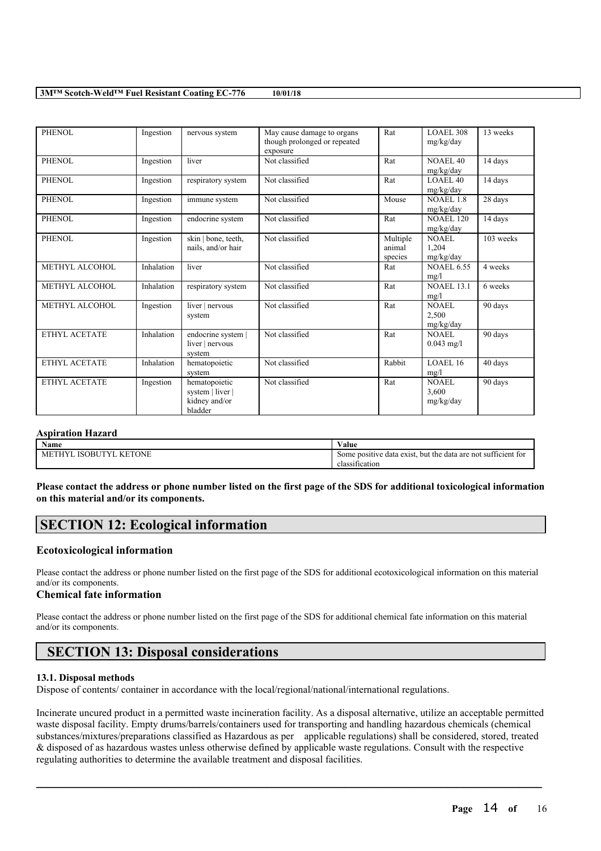| PHENOL               | Ingestion  | nervous system                                                | May cause damage to organs<br>though prolonged or repeated<br>exposure | Rat                           | LOAEL 308<br>mg/kg/day           | 13 weeks  |
|----------------------|------------|---------------------------------------------------------------|------------------------------------------------------------------------|-------------------------------|----------------------------------|-----------|
| PHENOL               | Ingestion  | liver                                                         | Not classified                                                         | Rat                           | NOAEL <sub>40</sub><br>mg/kg/day | 14 days   |
| <b>PHENOL</b>        | Ingestion  | respiratory system                                            | Not classified                                                         | Rat                           | <b>LOAEL 40</b><br>mg/kg/day     | 14 days   |
| PHENOL               | Ingestion  | immune system                                                 | Not classified                                                         | Mouse                         | <b>NOAEL 1.8</b><br>mg/kg/day    | 28 days   |
| <b>PHENOL</b>        | Ingestion  | endocrine system                                              | Not classified                                                         | Rat                           | <b>NOAEL 120</b><br>mg/kg/day    | 14 days   |
| PHENOL               | Ingestion  | $\overline{\text{skin}}$   bone, teeth,<br>nails, and/or hair | Not classified                                                         | Multiple<br>animal<br>species | NOAEL<br>1,204<br>mg/kg/day      | 103 weeks |
| METHYL ALCOHOL       | Inhalation | liver                                                         | Not classified                                                         | Rat                           | <b>NOAEL 6.55</b><br>mg/l        | 4 weeks   |
| METHYL ALCOHOL       | Inhalation | respiratory system                                            | Not classified                                                         | Rat                           | <b>NOAEL 13.1</b><br>mg/l        | 6 weeks   |
| METHYL ALCOHOL       | Ingestion  | liver   nervous<br>system                                     | Not classified                                                         | Rat                           | NOAEL<br>2,500<br>mg/kg/day      | 90 days   |
| ETHYL ACETATE        | Inhalation | endocrine system  <br>liver   nervous<br>system               | Not classified                                                         | Rat                           | NOAEL<br>$0.043$ mg/l            | 90 days   |
| <b>ETHYL ACETATE</b> | Inhalation | hematopoietic<br>system                                       | Not classified                                                         | Rabbit                        | LOAEL16<br>mg/l                  | 40 days   |
| ETHYL ACETATE        | Ingestion  | hematopoietic<br>system   liver  <br>kidney and/or<br>bladder | Not classified                                                         | Rat                           | NOAEL<br>3,600<br>mg/kg/day      | 90 days   |

### **Aspiration Hazard**

| Name                                      | $\mathbf{v}$<br>⁄ alue                                                                                         |
|-------------------------------------------|----------------------------------------------------------------------------------------------------------------|
| KETONE<br>ЭBI<br>₩.<br>Мł<br>יי<br>______ | $\sim$<br>: sufficient for<br>the<br>. exist.<br>but<br><b>positive</b><br>some<br>data<br>e data are<br>: not |
|                                           | . on<br>classification                                                                                         |

Please contact the address or phone number listed on the first page of the SDS for additional toxicological information **on this material and/or its components.**

## **SECTION 12: Ecological information**

### **Ecotoxicological information**

Please contact the address or phone number listed on the first page of the SDS for additional ecotoxicological information on this material and/or its components.

## **Chemical fate information**

Please contact the address or phone number listed on the first page of the SDS for additional chemical fate information on this material and/or its components.

# **SECTION 13: Disposal considerations**

### **13.1. Disposal methods**

Dispose of contents/ container in accordance with the local/regional/national/international regulations.

Incinerate uncured product in a permitted waste incineration facility. As a disposal alternative, utilize an acceptable permitted waste disposal facility. Empty drums/barrels/containers used for transporting and handling hazardous chemicals (chemical substances/mixtures/preparations classified as Hazardous as per applicable regulations) shall be considered, stored, treated & disposed of as hazardous wastes unless otherwise defined by applicable waste regulations. Consult with the respective regulating authorities to determine the available treatment and disposal facilities.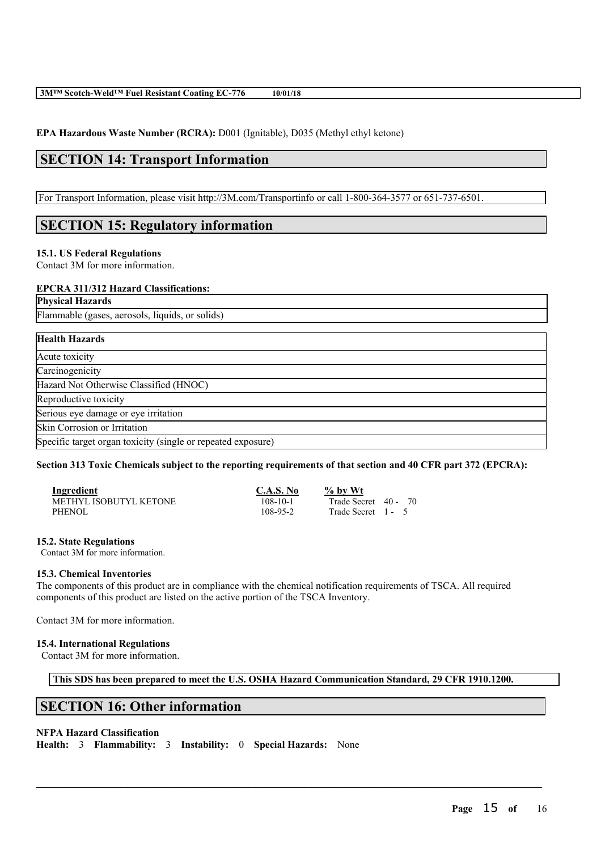**EPA Hazardous Waste Number (RCRA):** D001 (Ignitable), D035 (Methyl ethyl ketone)

# **SECTION 14: Transport Information**

For Transport Information, please visit http://3M.com/Transportinfo or call 1-800-364-3577 or 651-737-6501.

# **SECTION 15: Regulatory information**

### **15.1. US Federal Regulations**

Contact 3M for more information.

### **EPCRA 311/312 Hazard Classifications:**

**Physical Hazards**

Flammable (gases, aerosols, liquids, or solids)

| <b>Health Hazards</b>                                        |  |
|--------------------------------------------------------------|--|
| Acute toxicity                                               |  |
| Carcinogenicity                                              |  |
| Hazard Not Otherwise Classified (HNOC)                       |  |
| Reproductive toxicity                                        |  |
| Serious eye damage or eye irritation                         |  |
| Skin Corrosion or Irritation                                 |  |
| Specific target organ toxicity (single or repeated exposure) |  |

### Section 313 Toxic Chemicals subject to the reporting requirements of that section and 40 CFR part 372 (EPCRA):

| Ingredient             | C.A.S. No | % by Wt              |
|------------------------|-----------|----------------------|
| METHYL ISOBUTYL KETONE | 108-10-1  | Trade Secret 40 - 70 |
| <b>PHENOL</b>          | 108-95-2  | Trade Secret 1 - 5   |

### **15.2. State Regulations**

Contact 3M for more information.

### **15.3. Chemical Inventories**

The components of this product are in compliance with the chemical notification requirements of TSCA. All required components of this product are listed on the active portion of the TSCA Inventory.

Contact 3M for more information.

### **15.4. International Regulations**

Contact 3M for more information.

**This SDS has been prepared to meet the U.S. OSHA Hazard Communication Standard, 29 CFR 1910.1200.**

 $\mathcal{L}_\mathcal{L} = \mathcal{L}_\mathcal{L} = \mathcal{L}_\mathcal{L} = \mathcal{L}_\mathcal{L} = \mathcal{L}_\mathcal{L} = \mathcal{L}_\mathcal{L} = \mathcal{L}_\mathcal{L} = \mathcal{L}_\mathcal{L} = \mathcal{L}_\mathcal{L} = \mathcal{L}_\mathcal{L} = \mathcal{L}_\mathcal{L} = \mathcal{L}_\mathcal{L} = \mathcal{L}_\mathcal{L} = \mathcal{L}_\mathcal{L} = \mathcal{L}_\mathcal{L} = \mathcal{L}_\mathcal{L} = \mathcal{L}_\mathcal{L}$ 

## **SECTION 16: Other information**

## **NFPA Hazard Classification**

**Health:** 3 **Flammability:** 3 **Instability:** 0 **Special Hazards:** None